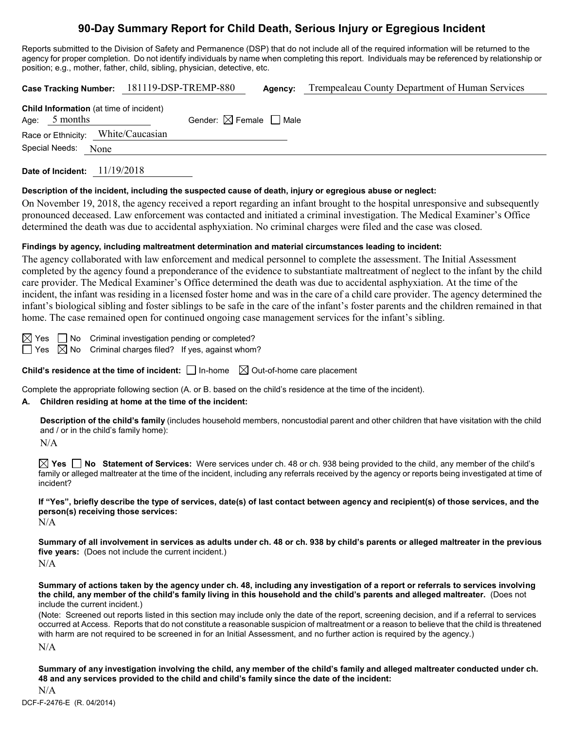# **90-Day Summary Report for Child Death, Serious Injury or Egregious Incident**

Reports submitted to the Division of Safety and Permanence (DSP) that do not include all of the required information will be returned to the agency for proper completion. Do not identify individuals by name when completing this report. Individuals may be referenced by relationship or position; e.g., mother, father, child, sibling, physician, detective, etc.

|                                                            | Case Tracking Number: 181119-DSP-TREMP-880 | Agency: | Trempealeau County Department of Human Services |
|------------------------------------------------------------|--------------------------------------------|---------|-------------------------------------------------|
| Child Information (at time of incident)<br>Age: $5$ months | Gender: $\boxtimes$ Female $\Box$ Male     |         |                                                 |
| Race or Ethnicity: White/Caucasian                         |                                            |         |                                                 |
| Special Needs: None                                        |                                            |         |                                                 |
| 11/19/2018<br>Date of Incident:                            |                                            |         |                                                 |

## **Description of the incident, including the suspected cause of death, injury or egregious abuse or neglect:**

On November 19, 2018, the agency received a report regarding an infant brought to the hospital unresponsive and subsequently pronounced deceased. Law enforcement was contacted and initiated a criminal investigation. The Medical Examiner's Office determined the death was due to accidental asphyxiation. No criminal charges were filed and the case was closed.

## **Findings by agency, including maltreatment determination and material circumstances leading to incident:**

The agency collaborated with law enforcement and medical personnel to complete the assessment. The Initial Assessment completed by the agency found a preponderance of the evidence to substantiate maltreatment of neglect to the infant by the child care provider. The Medical Examiner's Office determined the death was due to accidental asphyxiation. At the time of the incident, the infant was residing in a licensed foster home and was in the care of a child care provider. The agency determined the infant's biological sibling and foster siblings to be safe in the care of the infant's foster parents and the children remained in that home. The case remained open for continued ongoing case management services for the infant's sibling.

 $\boxtimes$  Yes  $\Box$  No Criminal investigation pending or completed?  $\Box$  Yes  $\oslash$  No  $\,$  Criminal charges filed? If yes, against whom?

**Child's residence at the time of incident:**  $\Box$  In-home  $\Box$  Out-of-home care placement

Complete the appropriate following section (A. or B. based on the child's residence at the time of the incident).

## **A. Children residing at home at the time of the incident:**

**Description of the child's family** (includes household members, noncustodial parent and other children that have visitation with the child and / or in the child's family home):

 $N/A$ 

**Yes No Statement of Services:** Were services under ch. 48 or ch. 938 being provided to the child, any member of the child's family or alleged maltreater at the time of the incident, including any referrals received by the agency or reports being investigated at time of incident?

**If "Yes", briefly describe the type of services, date(s) of last contact between agency and recipient(s) of those services, and the person(s) receiving those services:**

 $N/A$ 

**Summary of all involvement in services as adults under ch. 48 or ch. 938 by child's parents or alleged maltreater in the previous five years:** (Does not include the current incident.) N/A

**Summary of actions taken by the agency under ch. 48, including any investigation of a report or referrals to services involving the child, any member of the child's family living in this household and the child's parents and alleged maltreater.** (Does not include the current incident.)

(Note: Screened out reports listed in this section may include only the date of the report, screening decision, and if a referral to services occurred at Access. Reports that do not constitute a reasonable suspicion of maltreatment or a reason to believe that the child is threatened with harm are not required to be screened in for an Initial Assessment, and no further action is required by the agency.) N/A

**Summary of any investigation involving the child, any member of the child's family and alleged maltreater conducted under ch. 48 and any services provided to the child and child's family since the date of the incident:**